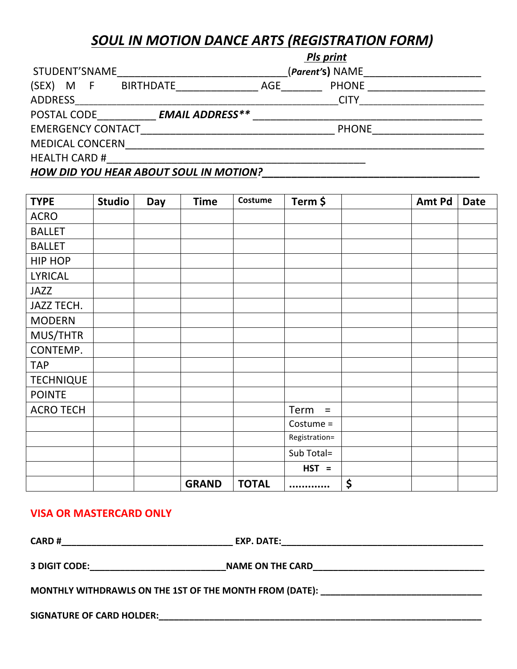## **SOUL IN MOTION DANCE ARTS (REGISTRATION FORM)**

|                                               | <b>Pls print</b> |                 |  |  |  |
|-----------------------------------------------|------------------|-----------------|--|--|--|
| STUDENT'SNAME                                 |                  | (Parent's) NAME |  |  |  |
| (SEX)<br>M F<br><b>BIRTHDATE</b>              | AGE              | <b>PHONE</b>    |  |  |  |
| <b>ADDRESS</b>                                |                  | <b>CITY</b>     |  |  |  |
| <b>EMAIL ADDRESS**</b><br>POSTAL CODE         |                  |                 |  |  |  |
| <b>EMERGENCY CONTACT</b>                      |                  | <b>PHONE</b>    |  |  |  |
| <b>MEDICAL CONCERN</b>                        |                  |                 |  |  |  |
| <b>HEALTH CARD #</b>                          |                  |                 |  |  |  |
| <b>HOW DID YOU HEAR ABOUT SOUL IN MOTION?</b> |                  |                 |  |  |  |

| <b>TYPE</b>      | <b>Studio</b> | Day | <b>Time</b>  | Costume      | Term \$          | Amt Pd | <b>Date</b> |
|------------------|---------------|-----|--------------|--------------|------------------|--------|-------------|
| <b>ACRO</b>      |               |     |              |              |                  |        |             |
| <b>BALLET</b>    |               |     |              |              |                  |        |             |
| <b>BALLET</b>    |               |     |              |              |                  |        |             |
| HIP HOP          |               |     |              |              |                  |        |             |
| <b>LYRICAL</b>   |               |     |              |              |                  |        |             |
| <b>JAZZ</b>      |               |     |              |              |                  |        |             |
| JAZZ TECH.       |               |     |              |              |                  |        |             |
| <b>MODERN</b>    |               |     |              |              |                  |        |             |
| MUS/THTR         |               |     |              |              |                  |        |             |
| CONTEMP.         |               |     |              |              |                  |        |             |
| <b>TAP</b>       |               |     |              |              |                  |        |             |
| <b>TECHNIQUE</b> |               |     |              |              |                  |        |             |
| <b>POINTE</b>    |               |     |              |              |                  |        |             |
| <b>ACRO TECH</b> |               |     |              |              | Term<br>$\equiv$ |        |             |
|                  |               |     |              |              | Costume =        |        |             |
|                  |               |     |              |              | Registration=    |        |             |
|                  |               |     |              |              | Sub Total=       |        |             |
|                  |               |     |              |              | $HST =$          |        |             |
|                  |               |     | <b>GRAND</b> | <b>TOTAL</b> |                  | \$     |             |

## **VISA OR MASTERCARD ONLY**

| <b>CARD#</b>                                            | EXP. DATE:<br><u> 1989 - Johann Barn, mars et al. (</u> 1989) |  |
|---------------------------------------------------------|---------------------------------------------------------------|--|
| 3 DIGIT CODE:                                           | <b>NAME ON THE CARD</b>                                       |  |
| MONTHLY WITHDRAWLS ON THE 1ST OF THE MONTH FROM (DATE): |                                                               |  |
| <b>SIGNATURE OF CARD HOLDER:</b>                        |                                                               |  |